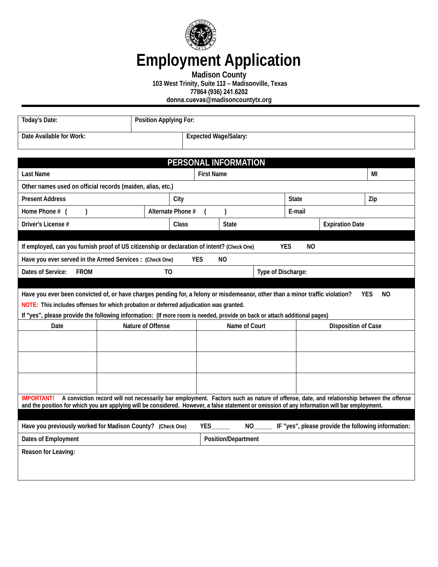

## **Employment Application**

**Madison County** 

**103 West Trinity, Suite 113 – Madisonville, Texas** 

**77864 (936) 241.6202**

**donna.cuevas@madisoncountytx.org**

| Today's Date:                                                                                                                                                                                                      | Position Applying For: |                              |                            |  |                        |                            |                                                     |
|--------------------------------------------------------------------------------------------------------------------------------------------------------------------------------------------------------------------|------------------------|------------------------------|----------------------------|--|------------------------|----------------------------|-----------------------------------------------------|
| Date Available for Work:                                                                                                                                                                                           |                        | <b>Expected Wage/Salary:</b> |                            |  |                        |                            |                                                     |
|                                                                                                                                                                                                                    |                        |                              |                            |  |                        |                            |                                                     |
|                                                                                                                                                                                                                    |                        |                              | PERSONAL INFORMATION       |  |                        |                            |                                                     |
| <b>Last Name</b>                                                                                                                                                                                                   |                        | <b>First Name</b>            |                            |  |                        |                            | МI                                                  |
| Other names used on official records (maiden, alias, etc.)                                                                                                                                                         |                        |                              |                            |  |                        |                            |                                                     |
| <b>Present Address</b>                                                                                                                                                                                             | City                   | <b>State</b>                 |                            |  |                        | Zip                        |                                                     |
| Home Phone # (<br>$\lambda$                                                                                                                                                                                        | Alternate Phone #      |                              | $\mathcal{E}$              |  | E-mail                 |                            |                                                     |
| Driver's License #                                                                                                                                                                                                 | Class                  |                              | <b>State</b>               |  | <b>Expiration Date</b> |                            |                                                     |
|                                                                                                                                                                                                                    |                        |                              |                            |  |                        |                            |                                                     |
| If employed, can you furnish proof of US citizenship or declaration of intent? (Check One)                                                                                                                         |                        |                              |                            |  | <b>YES</b><br>NO.      |                            |                                                     |
| Have you ever served in the Armed Services : (Check One)                                                                                                                                                           |                        | <b>YES</b>                   | <b>NO</b>                  |  |                        |                            |                                                     |
| Dates of Service:<br><b>FROM</b>                                                                                                                                                                                   | T <sub>0</sub>         | Type of Discharge:           |                            |  |                        |                            |                                                     |
|                                                                                                                                                                                                                    |                        |                              |                            |  |                        |                            |                                                     |
| Have you ever been convicted of, or have charges pending for, a felony or misdemeanor, other than a minor traffic violation?                                                                                       |                        |                              |                            |  |                        |                            | <b>YES</b><br>NO.                                   |
| NOTE: This includes offenses for which probation or deferred adjudication was granted.<br>If "yes", please provide the following information: (If more room is needed, provide on back or attach additional pages) |                        |                              |                            |  |                        |                            |                                                     |
| Date                                                                                                                                                                                                               | Nature of Offense      |                              | Name of Court              |  |                        | <b>Disposition of Case</b> |                                                     |
|                                                                                                                                                                                                                    |                        |                              |                            |  |                        |                            |                                                     |
|                                                                                                                                                                                                                    |                        |                              |                            |  |                        |                            |                                                     |
|                                                                                                                                                                                                                    |                        |                              |                            |  |                        |                            |                                                     |
|                                                                                                                                                                                                                    |                        |                              |                            |  |                        |                            |                                                     |
|                                                                                                                                                                                                                    |                        |                              |                            |  |                        |                            |                                                     |
| A conviction record will not necessarily bar employment. Factors such as nature of offense, date, and relationship between the offense<br><b>IMPORTANT!</b>                                                        |                        |                              |                            |  |                        |                            |                                                     |
| and the position for which you are applying will be considered. However, a false statement or omission of any information will bar employment.                                                                     |                        |                              |                            |  |                        |                            |                                                     |
| Have you previously worked for Madison County? (Check One)                                                                                                                                                         |                        | YES                          |                            |  |                        |                            | IF "yes", please provide the following information: |
| Dates of Employment                                                                                                                                                                                                |                        |                              | <b>Position/Department</b> |  |                        |                            |                                                     |
| Reason for Leaving:                                                                                                                                                                                                |                        |                              |                            |  |                        |                            |                                                     |
|                                                                                                                                                                                                                    |                        |                              |                            |  |                        |                            |                                                     |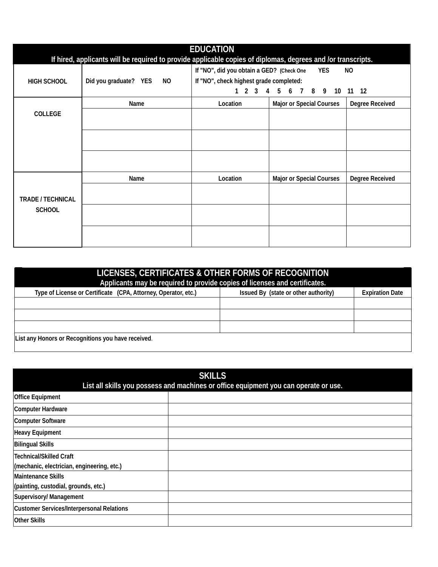| <b>EDUCATION</b><br>If hired, applicants will be required to provide applicable copies of diplomas, degrees and /or transcripts. |                             |                                                                                                                                                                           |                                 |                 |  |
|----------------------------------------------------------------------------------------------------------------------------------|-----------------------------|---------------------------------------------------------------------------------------------------------------------------------------------------------------------------|---------------------------------|-----------------|--|
| <b>HIGH SCHOOL</b>                                                                                                               | Did you graduate? YES<br>NO | If "NO", did you obtain a GED? (Check One<br><b>YES</b><br>NO<br>If "NO", check highest grade completed:<br>1 2 3 4 5 6 7<br>8<br>- 9<br>10 <sup>°</sup><br>$11 \quad 12$ |                                 |                 |  |
| <b>COLLEGE</b>                                                                                                                   | Name                        | Location                                                                                                                                                                  | <b>Major or Special Courses</b> | Degree Received |  |
|                                                                                                                                  |                             |                                                                                                                                                                           |                                 |                 |  |
|                                                                                                                                  |                             |                                                                                                                                                                           |                                 |                 |  |
|                                                                                                                                  | Name                        | Location                                                                                                                                                                  | <b>Major or Special Courses</b> | Degree Received |  |
| <b>TRADE / TECHNICAL</b><br><b>SCHOOL</b>                                                                                        |                             |                                                                                                                                                                           |                                 |                 |  |
|                                                                                                                                  |                             |                                                                                                                                                                           |                                 |                 |  |

| LICENSES, CERTIFICATES & OTHER FORMS OF RECOGNITION<br>Applicants may be required to provide copies of licenses and certificates. |                                      |                        |  |  |  |
|-----------------------------------------------------------------------------------------------------------------------------------|--------------------------------------|------------------------|--|--|--|
| Type of License or Certificate (CPA, Attorney, Operator, etc.)                                                                    | Issued By (state or other authority) | <b>Expiration Date</b> |  |  |  |
|                                                                                                                                   |                                      |                        |  |  |  |
|                                                                                                                                   |                                      |                        |  |  |  |
|                                                                                                                                   |                                      |                        |  |  |  |
| List any Honors or Recognitions you have received.                                                                                |                                      |                        |  |  |  |

| <b>SKILLS</b><br>List all skills you possess and machines or office equipment you can operate or use. |  |  |  |
|-------------------------------------------------------------------------------------------------------|--|--|--|
| <b>Office Equipment</b>                                                                               |  |  |  |
| <b>Computer Hardware</b>                                                                              |  |  |  |
| <b>Computer Software</b>                                                                              |  |  |  |
| <b>Heavy Equipment</b>                                                                                |  |  |  |
| <b>Bilingual Skills</b>                                                                               |  |  |  |
| <b>Technical/Skilled Craft</b>                                                                        |  |  |  |
| (mechanic, electrician, engineering, etc.)                                                            |  |  |  |
| <b>Maintenance Skills</b>                                                                             |  |  |  |
| (painting, custodial, grounds, etc.)                                                                  |  |  |  |
| Supervisory/ Management                                                                               |  |  |  |
| <b>Customer Services/Interpersonal Relations</b>                                                      |  |  |  |
| <b>Other Skills</b>                                                                                   |  |  |  |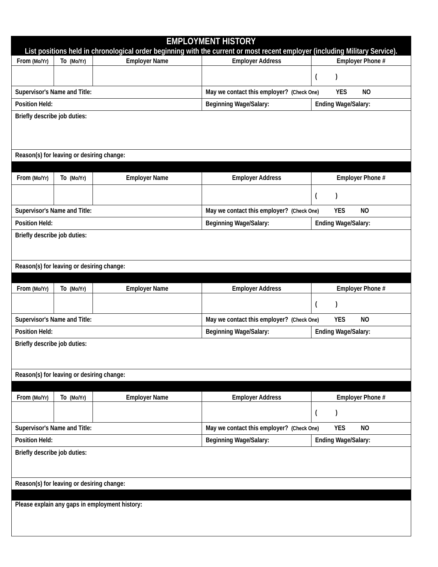| <b>EMPLOYMENT HISTORY</b><br>List positions held in chronological order beginning with the current or most recent employer (including Military Service). |                              |                                                                      |                                           |                                       |  |  |  |  |
|----------------------------------------------------------------------------------------------------------------------------------------------------------|------------------------------|----------------------------------------------------------------------|-------------------------------------------|---------------------------------------|--|--|--|--|
| From (Mo/Yr)                                                                                                                                             | To (Mo/Yr)                   | <b>Employer Name</b>                                                 | <b>Employer Address</b>                   | Employer Phone #                      |  |  |  |  |
|                                                                                                                                                          |                              |                                                                      |                                           | $\lambda$<br>$\overline{\mathcal{L}}$ |  |  |  |  |
| Supervisor's Name and Title:                                                                                                                             |                              |                                                                      | May we contact this employer? (Check One) | <b>YES</b><br>N <sub>O</sub>          |  |  |  |  |
| <b>Position Held:</b>                                                                                                                                    |                              |                                                                      | <b>Beginning Wage/Salary:</b>             | Ending Wage/Salary:                   |  |  |  |  |
|                                                                                                                                                          |                              |                                                                      |                                           |                                       |  |  |  |  |
|                                                                                                                                                          | Briefly describe job duties: |                                                                      |                                           |                                       |  |  |  |  |
| Reason(s) for leaving or desiring change:                                                                                                                |                              |                                                                      |                                           |                                       |  |  |  |  |
| From (Mo/Yr)                                                                                                                                             | To (Mo/Yr)                   | <b>Employer Name</b>                                                 | <b>Employer Address</b>                   | Employer Phone #                      |  |  |  |  |
|                                                                                                                                                          |                              |                                                                      |                                           | $\overline{(}$<br>$\mathbf{I}$        |  |  |  |  |
|                                                                                                                                                          |                              |                                                                      |                                           |                                       |  |  |  |  |
| Supervisor's Name and Title:                                                                                                                             |                              |                                                                      | May we contact this employer? (Check One) | <b>YES</b><br>NO                      |  |  |  |  |
| <b>Position Held:</b>                                                                                                                                    |                              |                                                                      | <b>Beginning Wage/Salary:</b>             | Ending Wage/Salary:                   |  |  |  |  |
|                                                                                                                                                          | Briefly describe job duties: |                                                                      |                                           |                                       |  |  |  |  |
| Reason(s) for leaving or desiring change:                                                                                                                |                              |                                                                      |                                           |                                       |  |  |  |  |
|                                                                                                                                                          |                              |                                                                      |                                           |                                       |  |  |  |  |
| From (Mo/Yr)                                                                                                                                             | To (Mo/Yr)                   | <b>Employer Name</b>                                                 | <b>Employer Address</b>                   | Employer Phone #                      |  |  |  |  |
|                                                                                                                                                          |                              |                                                                      |                                           | $\lambda$<br>$\overline{ }$           |  |  |  |  |
| Supervisor's Name and Title:                                                                                                                             |                              |                                                                      | May we contact this employer? (Check One) | <b>YES</b><br><b>NO</b>               |  |  |  |  |
| <b>Position Held:</b>                                                                                                                                    |                              |                                                                      | <b>Beginning Wage/Salary:</b>             | <b>Ending Wage/Salary:</b>            |  |  |  |  |
| Briefly describe job duties:                                                                                                                             |                              |                                                                      |                                           |                                       |  |  |  |  |
| Reason(s) for leaving or desiring change:                                                                                                                |                              |                                                                      |                                           |                                       |  |  |  |  |
|                                                                                                                                                          |                              |                                                                      |                                           |                                       |  |  |  |  |
| From (Mo/Yr)                                                                                                                                             | To (Mo/Yr)                   | <b>Employer Name</b>                                                 | <b>Employer Address</b>                   | Employer Phone #                      |  |  |  |  |
|                                                                                                                                                          |                              |                                                                      |                                           | $\mathcal{E}$<br>$\left($             |  |  |  |  |
| Supervisor's Name and Title:                                                                                                                             |                              | <b>YES</b><br>May we contact this employer? (Check One)<br><b>NO</b> |                                           |                                       |  |  |  |  |
| <b>Position Held:</b>                                                                                                                                    |                              | <b>Ending Wage/Salary:</b><br><b>Beginning Wage/Salary:</b>          |                                           |                                       |  |  |  |  |
| Briefly describe job duties:                                                                                                                             |                              |                                                                      |                                           |                                       |  |  |  |  |
|                                                                                                                                                          |                              |                                                                      |                                           |                                       |  |  |  |  |
| Reason(s) for leaving or desiring change:                                                                                                                |                              |                                                                      |                                           |                                       |  |  |  |  |
| Please explain any gaps in employment history:                                                                                                           |                              |                                                                      |                                           |                                       |  |  |  |  |